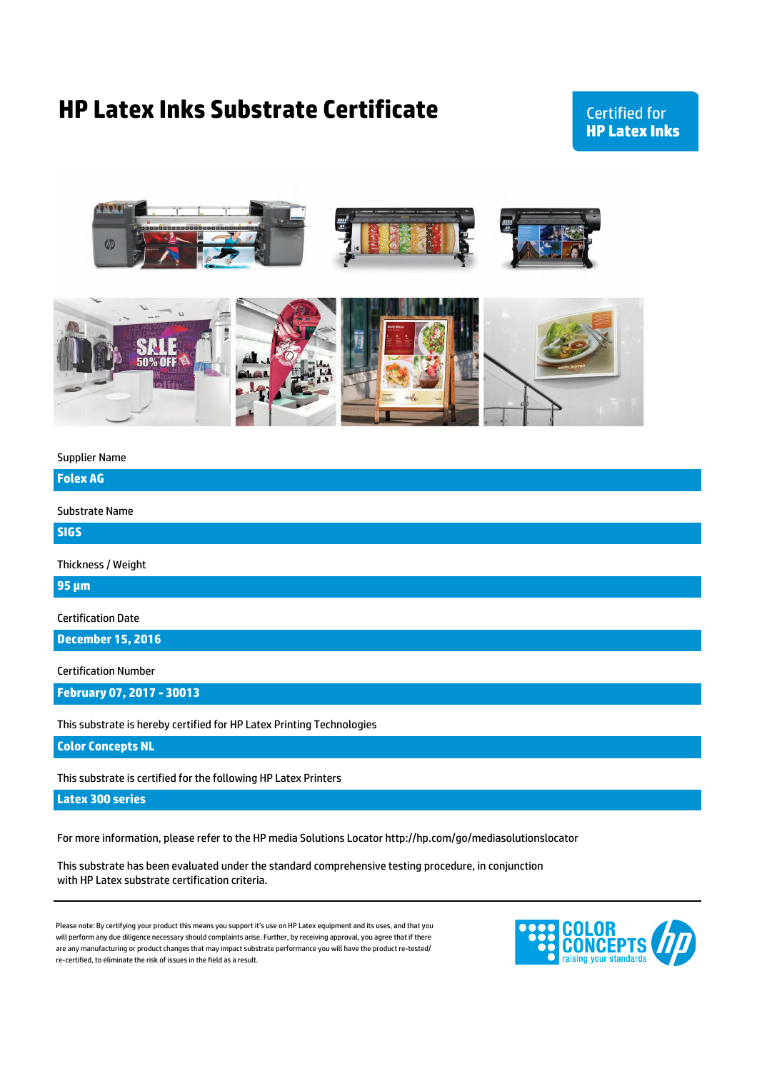## **HP Latex Inks Substrate Certificate**

## **Certified for HP Latex Inks**



Supplier Name

**Folex AG**

Substrate Name

**SIGS**

Thickness / Weight

**95 µm**

Certification Date

**December 15, 2016**

Certification Number

**February 07, 2017 - 30013**

This substrate is hereby certified for HP Latex Printing Technologies

**Color Concepts NL**

This substrate is certified for the following HP Latex Printers

**Latex 300 series**

For more information, please refer to the HP media Solutions Locator http://hp.com/go/mediasolutionslocator

This substrate has been evaluated under the standard comprehensive testing procedure, in conjunction with HP Latex substrate certification criteria.

are any manufacturing or product changes that may impact substrate performance you will have the product re-tested/ re-certified, to eliminate the risk of issues in the field as a result. Please note: By certifying your product this means you support it's use on HP Latex equipment and its uses, and that you will perform any due diligence necessary should complaints arise. Further, by receiving approval, you agree that if there

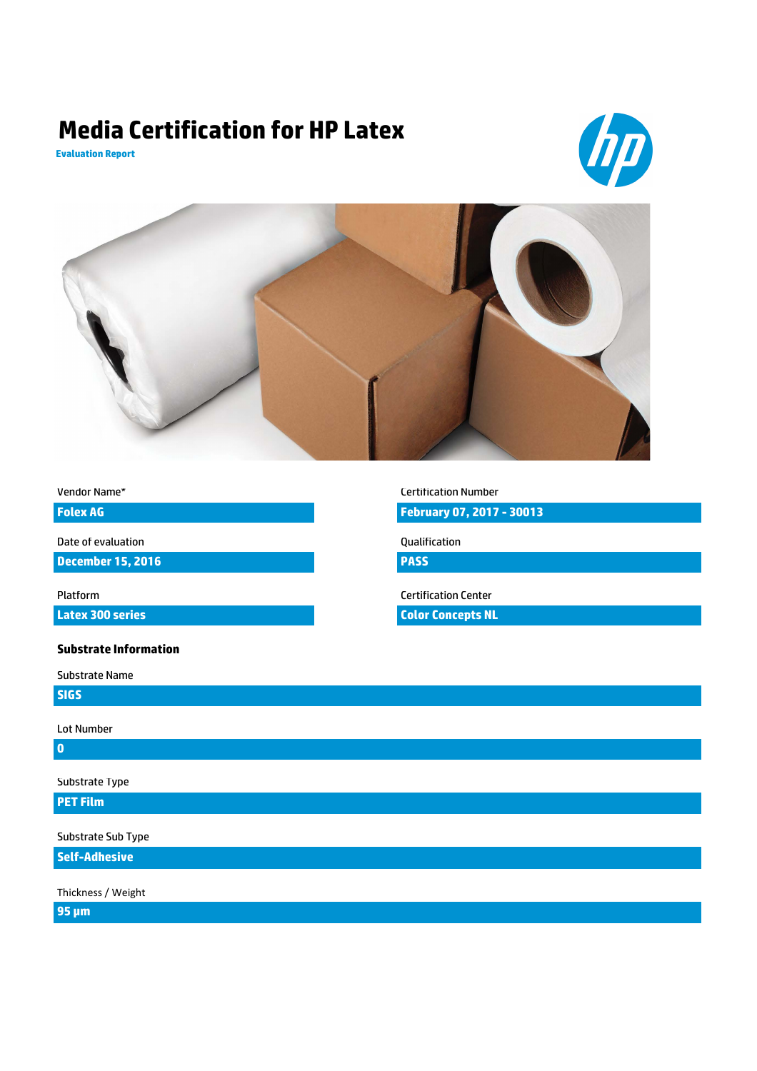# **Media Certification for HP Latex**







| Vendor Name* |  |
|--------------|--|
|--------------|--|

**Folex AG**

Date of evaluation

**December 15, 2016**

**Latex 300 series**

#### **Substrate Information**

Substrate Name

**SIGS**

Lot Number

**0**

Substrate Type

## **PET Film**

Substrate Sub Type

**Self-Adhesive**

Thickness / Weight

**95 µm**

Certification Number **February 07, 2017 - 30013**

Qualification

**PASS**

Platform Certification Center

**Color Concepts NL**